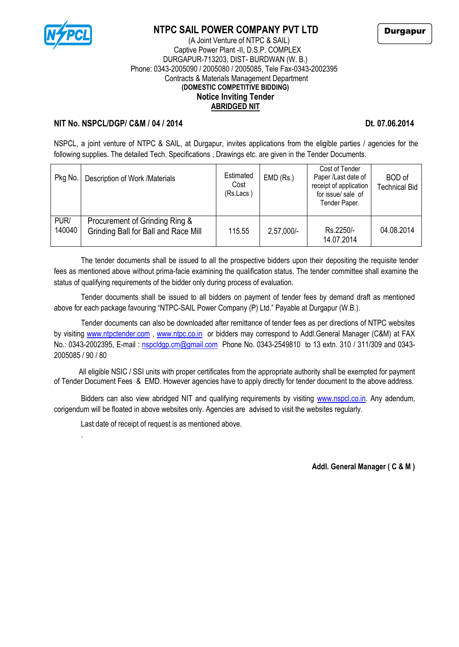

## **NTPC SAIL POWER COMPANY PVT LTD**

### (A Joint Venture of NTPC & SAIL) Captive Power Plant -II, D.S.P. COMPLEX DURGAPUR-713203, DIST- BURDWAN (W. B.) Phone: 0343-2005090 / 2005080 / 2005085, Tele Fax-0343-2002395 Contracts & Materials Management Department **(DOMESTIC COMPETITIVE BIDDING) Notice Inviting Tender ABRIDGED NIT**

## **NIT No. NSPCL/DGP/ C&M / 04 / 2014 Dt. 07.06.2014**

NSPCL, a joint venture of NTPC & SAIL, at Durgapur, invites applications from the eligible parties / agencies for the following supplies. The detailed Tech. Specifications, Drawings etc. are given in the Tender Documents.

| Pkg No.        | Description of Work /Materials                                         | Estimated<br>Cost<br>(Rs.Lacs) | $EMD$ (Rs.)  | Cost of Tender<br>Paper /Last date of<br>receipt of application<br>for issue/sale of<br>Tender Paper. | BOD of<br><b>Technical Bid</b> |
|----------------|------------------------------------------------------------------------|--------------------------------|--------------|-------------------------------------------------------------------------------------------------------|--------------------------------|
| PUR/<br>140040 | Procurement of Grinding Ring &<br>Grinding Ball for Ball and Race Mill | 115.55                         | $2,57,000/-$ | Rs.2250/-<br>14.07.2014                                                                               | 04.08.2014                     |

The tender documents shall be issued to all the prospective bidders upon their depositing the requisite tender fees as mentioned above without prima-facie examining the qualification status. The tender committee shall examine the status of qualifying requirements of the bidder only during process of evaluation.

Tender documents shall be issued to all bidders on payment of tender fees by demand draft as mentioned above for each package favouring "NTPC-SAIL Power Company (P) Ltd." Payable at Durgapur (W.B.).

Tender documents can also be downloaded after remittance of tender fees as per directions of NTPC websites by visiting [www.ntpctender.com](http://www.ntpctender.com/) , [www.ntpc.co.in](http://www.ntpc.co.in/) or bidders may correspond to Addl.General Manager (C&M) at FAX No.: 0343-2002395, E-mail: [nspcldgp.cm@gmail.com](mailto:nspcldgp.cm@gmail.com) Phone No. 0343-2549810 to 13 extn. 310 / 311/309 and 0343-2005085 / 90 / 80

All eligible NSIC / SSI units with proper certificates from the appropriate authority shall be exempted for payment of Tender Document Fees & EMD. However agencies have to apply directly for tender document to the above address.

Bidders can also view abridged NIT and qualifying requirements by visiting [www.nspcl.co.in.](http://www.nspcl.co.in/) Any adendum, corigendum will be floated in above websites only. Agencies are advised to visit the websites regularly.

Last date of receipt of request is as mentioned above.

.

**Addl. General Manager ( C & M )**